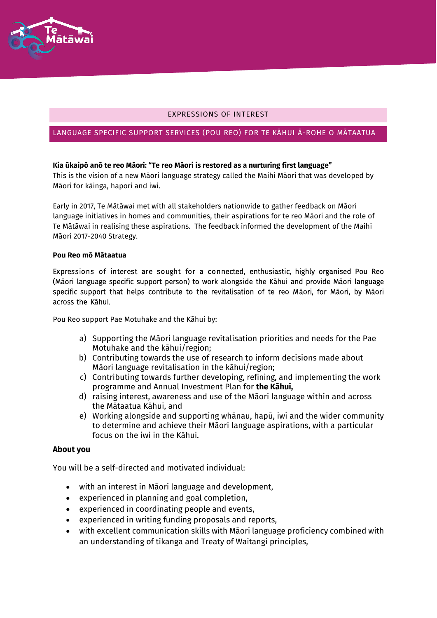

## EXPRESSIONS OF INTEREST

## LANGUAGE SPECIFIC SUPPORT SERVICES (POU REO) FOR TE KĀHUI Ā-ROHE O MĀTAATUA

## **Kia ūkaipō anō te reo Māori: "Te reo Māori is restored as a nurturing first language"**

This is the vision of a new Māori language strategy called the Maihi Māori that was developed by Māori for kāinga, hapori and iwi.

Early in 2017, Te Mātāwai met with all stakeholders nationwide to gather feedback on Māori language initiatives in homes and communities, their aspirations for te reo Māori and the role of Te Mātāwai in realising these aspirations. The feedback informed the development of the Maihi Māori 2017-2040 Strategy.

#### **Pou Reo mō Mātaatua**

Expressions of interest are sought for a connected, enthusiastic, highly organised Pou Reo (Māori language specific support person) to work alongside the Kāhui and provide Māori language specific support that helps contribute to the revitalisation of te reo Māori, for Māori, by Māori across the Kāhui.

Pou Reo support Pae Motuhake and the Kāhui by:

- a) Supporting the Māori language revitalisation priorities and needs for the Pae Motuhake and the kāhui/region;
- b) Contributing towards the use of research to inform decisions made about Māori language revitalisation in the kāhui/region;
- c) Contributing towards further developing, refining, and implementing the work programme and Annual Investment Plan for **the Kāhui,**
- d) raising interest, awareness and use of the Māori language within and across the Mātaatua Kāhui, and
- e) Working alongside and supporting whānau, hapū, iwi and the wider community to determine and achieve their Māori language aspirations, with a particular focus on the iwi in the Kāhui.

### **About you**

You will be a self-directed and motivated individual:

- with an interest in Māori language and development,
- experienced in planning and goal completion,
- experienced in coordinating people and events,
- experienced in writing funding proposals and reports,
- with excellent communication skills with Māori language proficiency combined with an understanding of tikanga and Treaty of Waitangi principles,